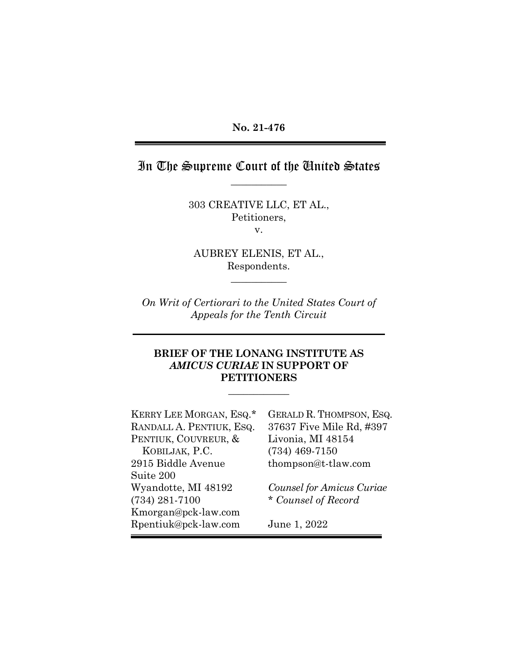## In The Supreme Court of the United States  $\overline{\phantom{a}}$  , we can also the set of  $\overline{\phantom{a}}$

303 CREATIVE LLC, ET AL., Petitioners, v.

AUBREY ELENIS, ET AL., Respondents.

 $\overline{\phantom{a}}$  , we can also the set of  $\overline{\phantom{a}}$ 

*On Writ of Certiorari to the United States Court of Appeals for the Tenth Circuit*

#### **BRIEF OF THE LONANG INSTITUTE AS**  *AMICUS CURIAE* **IN SUPPORT OF PETITIONERS**

**\_\_\_\_\_\_\_\_\_\_\_\_** 

KERRY LEE MORGAN, ESQ.\* RANDALL A. PENTIUK, ESQ. PENTIUK, COUVREUR, & KOBILJAK, P.C. 2915 Biddle Avenue Suite 200 Wyandotte, MI 48192 (734) 281-7100 Kmorgan@pck-law.com Rpentiuk@pck-law.com

GERALD R. THOMPSON, ESQ. 37637 Five Mile Rd, #397 Livonia, MI 48154 (734) 469-7150 thompson@t-tlaw.com

*Counsel for Amicus Curiae* \* *Counsel of Record*

June 1, 2022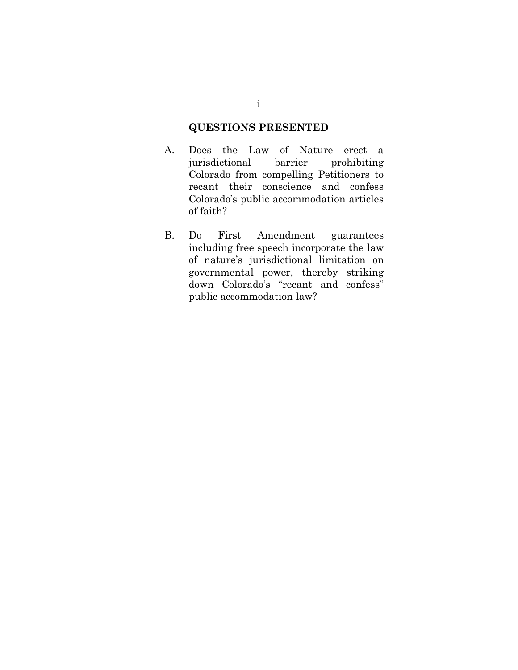## **QUESTIONS PRESENTED**

- A. Does the Law of Nature erect a jurisdictional barrier prohibiting Colorado from compelling Petitioners to recant their conscience and confess Colorado's public accommodation articles of faith?
- B. Do First Amendment guarantees including free speech incorporate the law of nature's jurisdictional limitation on governmental power, thereby striking down Colorado's "recant and confess" public accommodation law?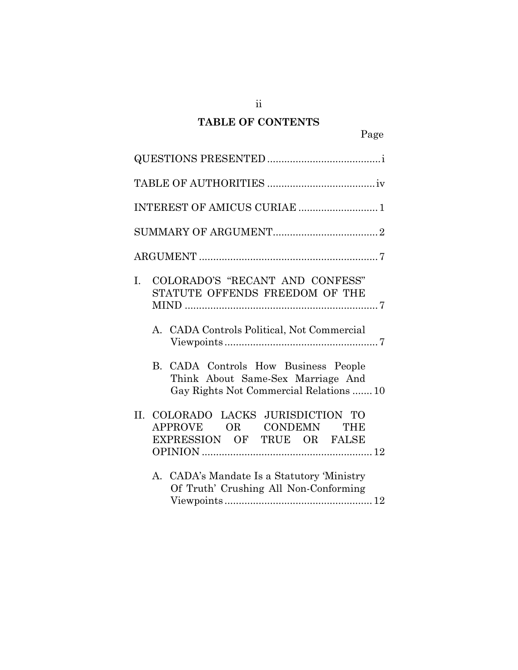# **TABLE OF CONTENTS**

ii

| INTEREST OF AMICUS CURIAE  1                                                                                          |
|-----------------------------------------------------------------------------------------------------------------------|
|                                                                                                                       |
|                                                                                                                       |
| COLORADO'S "RECANT AND CONFESS"<br>L.<br>STATUTE OFFENDS FREEDOM OF THE<br>A. CADA Controls Political, Not Commercial |
| B. CADA Controls How Business People<br>Think About Same-Sex Marriage And<br>Gay Rights Not Commercial Relations  10  |
| COLORADO LACKS JURISDICTION TO<br>Н.<br>APPROVE OR CONDEMN THE<br>EXPRESSION OF TRUE OR FALSE                         |
| A. CADA's Mandate Is a Statutory 'Ministry<br>Of Truth' Crushing All Non-Conforming                                   |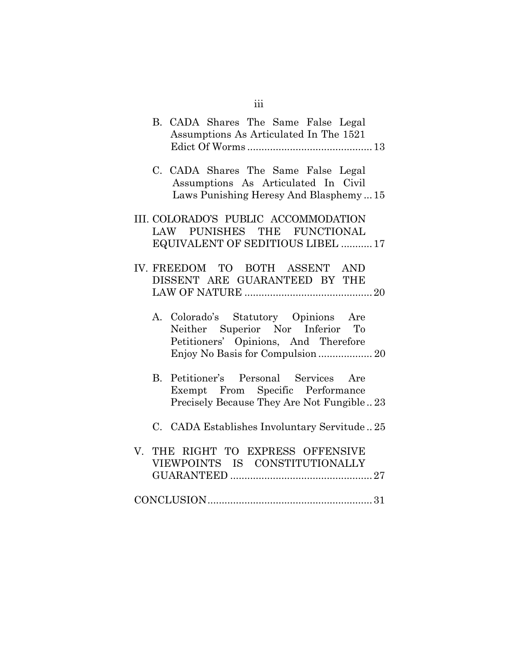|  | B. CADA Shares The Same False Legal<br>Assumptions As Articulated In The 1521                                          |
|--|------------------------------------------------------------------------------------------------------------------------|
|  | C. CADA Shares The Same False Legal<br>Assumptions As Articulated In Civil<br>Laws Punishing Heresy And Blasphemy15    |
|  | III. COLORADO'S PUBLIC ACCOMMODATION<br>LAW PUNISHES THE FUNCTIONAL<br>EQUIVALENT OF SEDITIOUS LIBEL  17               |
|  | IV. FREEDOM TO BOTH ASSENT AND<br>DISSENT ARE GUARANTEED BY THE                                                        |
|  | A. Colorado's Statutory Opinions Are<br>Neither Superior Nor Inferior To<br>Petitioners' Opinions, And Therefore       |
|  | B. Petitioner's Personal Services Are<br>Exempt From Specific Performance<br>Precisely Because They Are Not Fungible23 |
|  | C. CADA Establishes Involuntary Servitude25                                                                            |
|  | V. THE RIGHT TO EXPRESS OFFENSIVE<br>VIEWPOINTS IS CONSTITUTIONALLY                                                    |
|  |                                                                                                                        |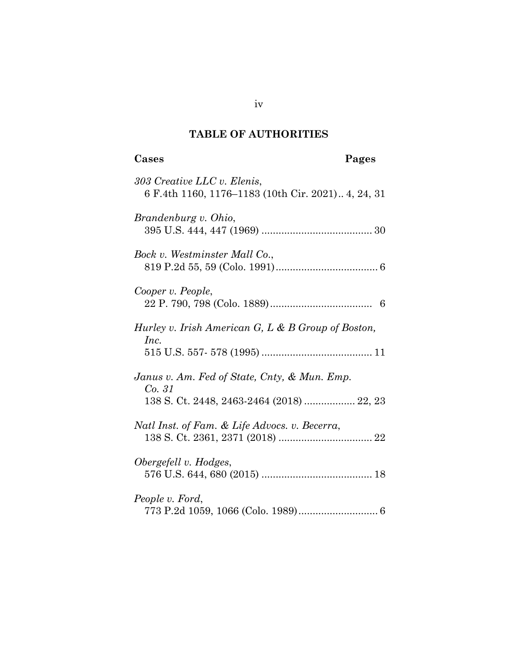# **TABLE OF AUTHORITIES**

## **Cases Pages**

| 303 Creative LLC v. Elenis,<br>6 F.4th 1160, 1176–1183 (10th Cir. 2021) 4, 24, 31                   |
|-----------------------------------------------------------------------------------------------------|
| Brandenburg v. Ohio,                                                                                |
| Bock v. Westminster Mall Co.,                                                                       |
| Cooper v. People,                                                                                   |
| Hurley v. Irish American G, L & B Group of Boston,<br>Inc.                                          |
| Janus v. Am. Fed of State, Cnty, & Mun. Emp.<br>Co. 31<br>138 S. Ct. 2448, 2463-2464 (2018)  22, 23 |
| Natl Inst. of Fam. & Life Advocs. v. Becerra,                                                       |
| Obergefell v. Hodges,                                                                               |
| People v. Ford,                                                                                     |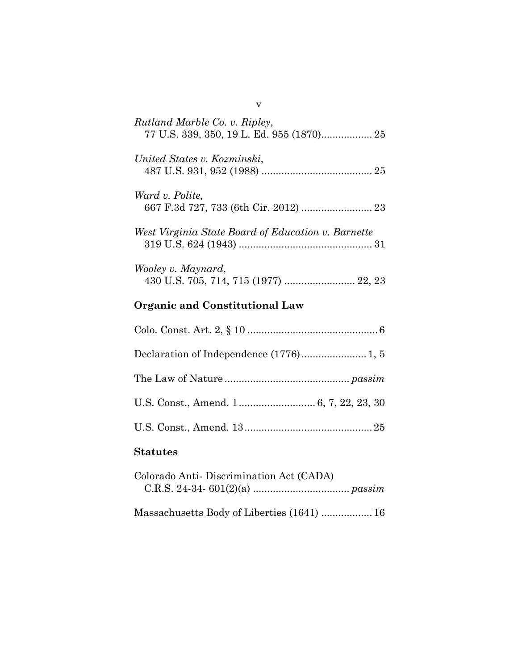| Rutland Marble Co. v. Ripley,                      |
|----------------------------------------------------|
| United States v. Kozminski,                        |
| Ward v. Polite,                                    |
| West Virginia State Board of Education v. Barnette |
| Wooley v. Maynard,                                 |

# **Organic and Constitutional Law**

## **Statutes**

| Colorado Anti-Discrimination Act (CADA)    |  |
|--------------------------------------------|--|
|                                            |  |
| Massachusetts Body of Liberties (1641)  16 |  |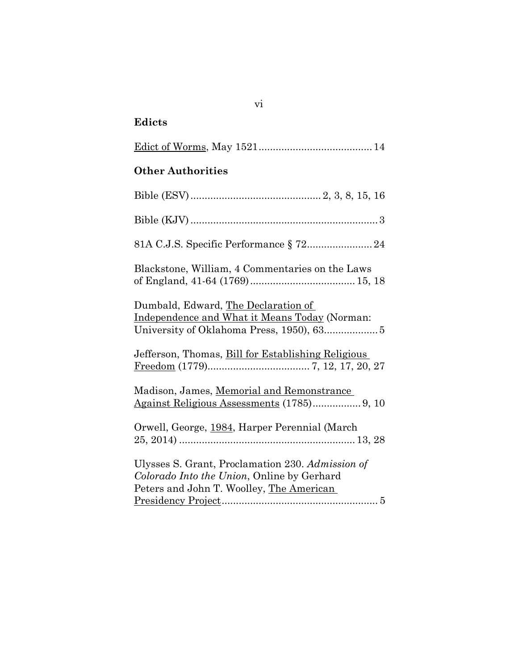# **Edicts**

| <b>Other Authorities</b>                                                                                                                   |
|--------------------------------------------------------------------------------------------------------------------------------------------|
|                                                                                                                                            |
|                                                                                                                                            |
|                                                                                                                                            |
| Blackstone, William, 4 Commentaries on the Laws                                                                                            |
| Dumbald, Edward, The Declaration of<br>Independence and What it Means Today (Norman:                                                       |
| Jefferson, Thomas, Bill for Establishing Religious                                                                                         |
| Madison, James, Memorial and Remonstrance<br>Against Religious Assessments (1785) 9, 10                                                    |
| Orwell, George, 1984, Harper Perennial (March                                                                                              |
| Ulysses S. Grant, Proclamation 230. Admission of<br>Colorado Into the Union, Online by Gerhard<br>Peters and John T. Woolley, The American |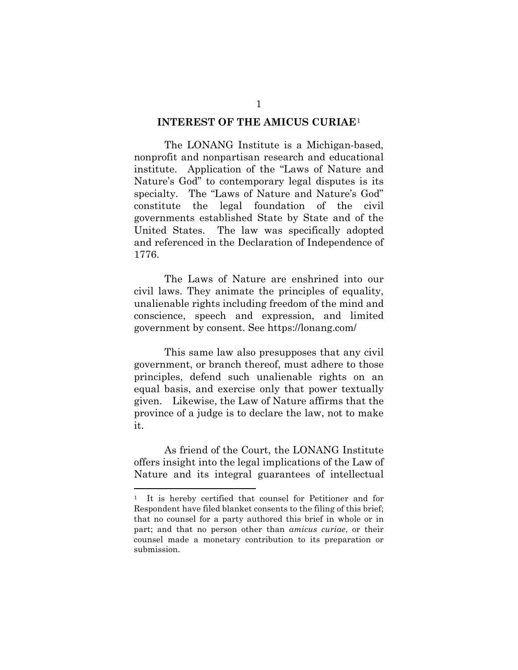#### **INTEREST OF THE AMICUS CURIAE**[1](#page-7-0)

The LONANG Institute is a Michigan-based, nonprofit and nonpartisan research and educational institute. Application of the "Laws of Nature and Nature's God" to contemporary legal disputes is its specialty. The "Laws of Nature and Nature's God" constitute the legal foundation of the civil governments established State by State and of the United States. The law was specifically adopted and referenced in the Declaration of Independence of 1776.

The Laws of Nature are enshrined into our civil laws. They animate the principles of equality, unalienable rights including freedom of the mind and conscience, speech and expression, and limited government by consent. See https://lonang.com/

This same law also presupposes that any civil government, or branch thereof, must adhere to those principles, defend such unalienable rights on an equal basis, and exercise only that power textually given. Likewise, the Law of Nature affirms that the province of a judge is to declare the law, not to make it.

As friend of the Court, the LONANG Institute offers insight into the legal implications of the Law of Nature and its integral guarantees of intellectual

<span id="page-7-0"></span>It is hereby certified that counsel for Petitioner and for Respondent have filed blanket consents to the filing of this brief; that no counsel for a party authored this brief in whole or in part; and that no person other than *amicus curiae*, or their counsel made a monetary contribution to its preparation or submission.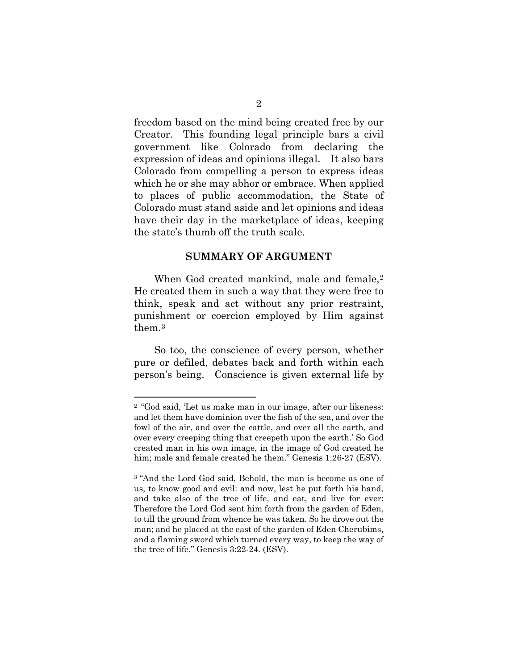freedom based on the mind being created free by our Creator. This founding legal principle bars a civil government like Colorado from declaring the expression of ideas and opinions illegal. It also bars Colorado from compelling a person to express ideas which he or she may abhor or embrace. When applied to places of public accommodation, the State of Colorado must stand aside and let opinions and ideas have their day in the marketplace of ideas, keeping the state's thumb off the truth scale.

#### **SUMMARY OF ARGUMENT**

When God created mankind, male and female,<sup>[2](#page-8-0)</sup> He created them in such a way that they were free to think, speak and act without any prior restraint, punishment or coercion employed by Him against them.[3](#page-8-1)

So too, the conscience of every person, whether pure or defiled, debates back and forth within each person's being. Conscience is given external life by

<span id="page-8-0"></span><sup>2</sup> "God said, 'Let us make man in our image, after our likeness: and let them have dominion over the fish of the sea, and over the fowl of the air, and over the cattle, and over all the earth, and over every creeping thing that creepeth upon the earth.' So God created man in his own image, in the image of God created he him; male and female created he them." Genesis 1:26-27 (ESV).

<span id="page-8-1"></span><sup>3 &</sup>quot;And the Lord God said, Behold, the man is become as one of us, to know good and evil: and now, lest he put forth his hand, and take also of the tree of life, and eat, and live for ever: Therefore the Lord God sent him forth from the garden of Eden, to till the ground from whence he was taken. So he drove out the man; and he placed at the east of the garden of Eden Cherubims, and a flaming sword which turned every way, to keep the way of the tree of life." Genesis 3:22-24. (ESV).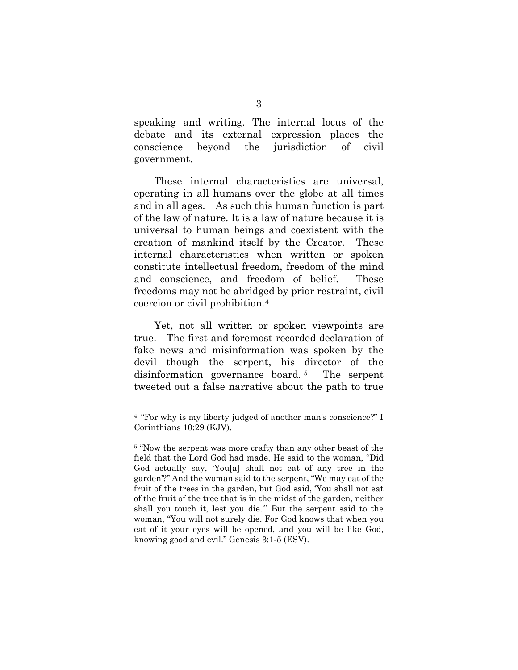speaking and writing. The internal locus of the debate and its external expression places the conscience beyond the jurisdiction of civil government.

 These internal characteristics are universal, operating in all humans over the globe at all times and in all ages. As such this human function is part of the law of nature. It is a law of nature because it is universal to human beings and coexistent with the creation of mankind itself by the Creator. These internal characteristics when written or spoken constitute intellectual freedom, freedom of the mind and conscience, and freedom of belief. These freedoms may not be abridged by prior restraint, civil coercion or civil prohibition.[4](#page-9-0)

Yet, not all written or spoken viewpoints are true. The first and foremost recorded declaration of fake news and misinformation was spoken by the devil though the serpent, his director of the disinformation governance board. [5](#page-9-1) The serpent tweeted out a false narrative about the path to true

<span id="page-9-0"></span><sup>4</sup> "For why is my liberty judged of another man's conscience?" I Corinthians 10:29 (KJV).

<span id="page-9-1"></span><sup>&</sup>lt;sup>5</sup> "Now the serpent was more crafty than any other beast of the field that the Lord God had made. He said to the woman, "Did God actually say, 'You[a] shall not eat of any tree in the garden'?" And the woman said to the serpent, "We may eat of the fruit of the trees in the garden, but God said, 'You shall not eat of the fruit of the tree that is in the midst of the garden, neither shall you touch it, lest you die.'" But the serpent said to the woman, "You will not surely die. For God knows that when you eat of it your eyes will be opened, and you will be like God, knowing good and evil." Genesis 3:1-5 (ESV).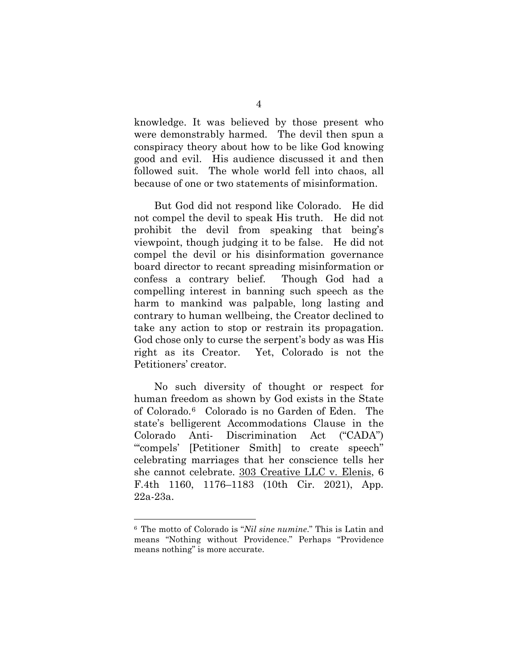knowledge. It was believed by those present who were demonstrably harmed. The devil then spun a conspiracy theory about how to be like God knowing good and evil. His audience discussed it and then followed suit. The whole world fell into chaos, all because of one or two statements of misinformation.

But God did not respond like Colorado. He did not compel the devil to speak His truth. He did not prohibit the devil from speaking that being's viewpoint, though judging it to be false. He did not compel the devil or his disinformation governance board director to recant spreading misinformation or confess a contrary belief. Though God had a compelling interest in banning such speech as the harm to mankind was palpable, long lasting and contrary to human wellbeing, the Creator declined to take any action to stop or restrain its propagation. God chose only to curse the serpent's body as was His right as its Creator. Yet, Colorado is not the Petitioners' creator.

 No such diversity of thought or respect for human freedom as shown by God exists in the State of Colorado.[6](#page-10-0) Colorado is no Garden of Eden. The state's belligerent Accommodations Clause in the Colorado Anti- Discrimination Act ("CADA") "'compels' [Petitioner Smith] to create speech" celebrating marriages that her conscience tells her she cannot celebrate. 303 Creative LLC v. Elenis, 6 F.4th 1160, 1176–1183 (10th Cir. 2021), App. 22a-23a.

<span id="page-10-0"></span><sup>6</sup> The motto of Colorado is "*Nil sine numine*." This is Latin and means "Nothing without Providence." Perhaps "Providence means nothing" is more accurate.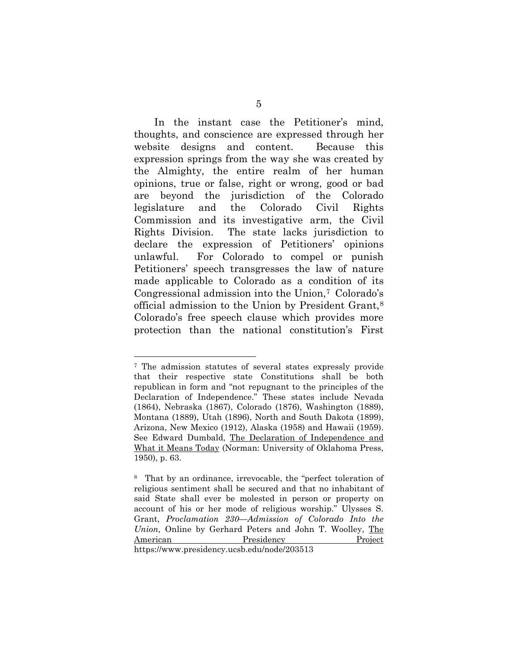In the instant case the Petitioner's mind, thoughts, and conscience are expressed through her website designs and content. Because this expression springs from the way she was created by the Almighty, the entire realm of her human opinions, true or false, right or wrong, good or bad are beyond the jurisdiction of the Colorado legislature and the Colorado Civil Rights Commission and its investigative arm, the Civil Rights Division. The state lacks jurisdiction to declare the expression of Petitioners' opinions unlawful. For Colorado to compel or punish Petitioners' speech transgresses the law of nature made applicable to Colorado as a condition of its Congressional admission into the Union,[7](#page-11-0) Colorado's official admission to the Union by President Grant,[8](#page-11-1) Colorado's free speech clause which provides more protection than the national constitution's First

<span id="page-11-0"></span><sup>7</sup> The admission statutes of several states expressly provide that their respective state Constitutions shall be both republican in form and "not repugnant to the principles of the Declaration of Independence." These states include Nevada (1864), Nebraska (1867), Colorado (1876), Washington (1889), Montana (1889), Utah (1896), North and South Dakota (1899), Arizona, New Mexico (1912), Alaska (1958) and Hawaii (1959). See Edward Dumbald, The Declaration of Independence and What it Means Today (Norman: University of Oklahoma Press, 1950), p. 63.

<span id="page-11-1"></span><sup>8</sup> That by an ordinance, irrevocable, the "perfect toleration of religious sentiment shall be secured and that no inhabitant of said State shall ever be molested in person or property on account of his or her mode of religious worship." Ulysses S. Grant, *Proclamation 230—Admission of Colorado Into the Union,* Online by Gerhard Peters and John T. Woolley, The American Presidency Project https://www.presidency.ucsb.edu/node/203513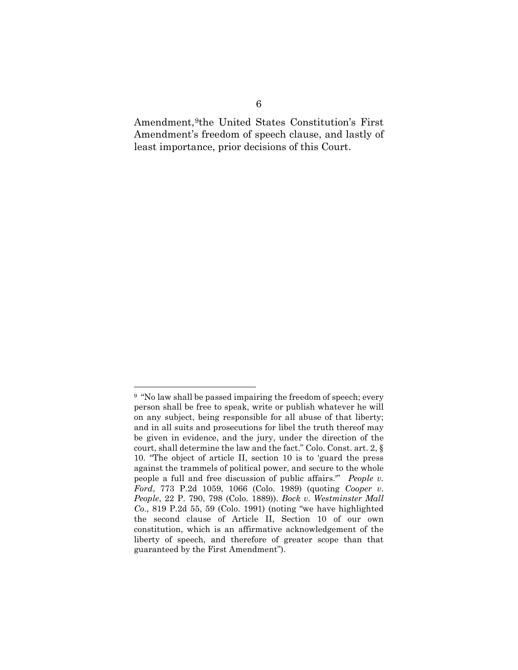Amendment,[9t](#page-12-0)he United States Constitution's First Amendment's freedom of speech clause, and lastly of least importance, prior decisions of this Court.

<span id="page-12-0"></span><sup>9</sup> "No law shall be passed impairing the freedom of speech; every person shall be free to speak, write or publish whatever he will on any subject, being responsible for all abuse of that liberty; and in all suits and prosecutions for libel the truth thereof may be given in evidence, and the jury, under the direction of the court, shall determine the law and the fact." Colo. Const. art. 2, § 10. "The object of article II, section 10 is to 'guard the press against the trammels of political power, and secure to the whole people a full and free discussion of public affairs.'" *People v. Ford*, 773 P.2d 1059, 1066 (Colo. 1989) (quoting *Cooper v. People*, 22 P. 790, 798 (Colo. 1889)). *Bock v. Westminster Mall Co*., 819 P.2d 55, 59 (Colo. 1991) (noting "we have highlighted the second clause of Article II, Section 10 of our own constitution, which is an affirmative acknowledgement of the liberty of speech, and therefore of greater scope than that guaranteed by the First Amendment").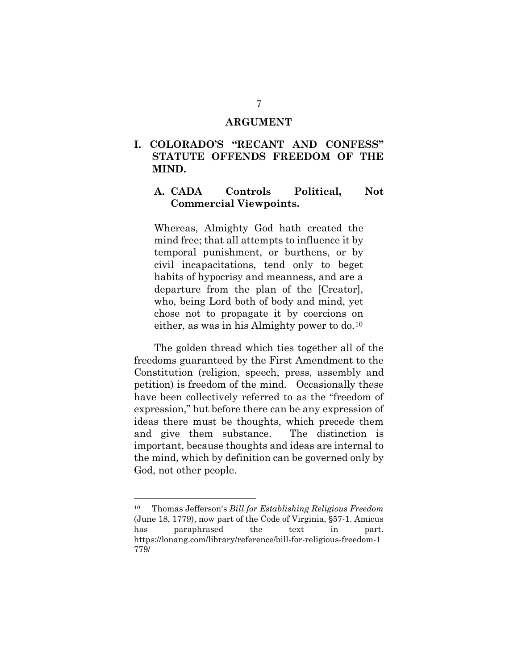#### **ARGUMENT**

#### **I. COLORADO'S "RECANT AND CONFESS" STATUTE OFFENDS FREEDOM OF THE MIND.**

#### **A. CADA Controls Political, Not Commercial Viewpoints.**

Whereas, Almighty God hath created the mind free; that all attempts to influence it by temporal punishment, or burthens, or by civil incapacitations, tend only to beget habits of hypocrisy and meanness, and are a departure from the plan of the [Creator], who, being Lord both of body and mind, yet chose not to propagate it by coercions on either, as was in his Almighty power to do.[10](#page-13-0)

The golden thread which ties together all of the freedoms guaranteed by the First Amendment to the Constitution (religion, speech, press, assembly and petition) is freedom of the mind. Occasionally these have been collectively referred to as the "freedom of expression," but before there can be any expression of ideas there must be thoughts, which precede them and give them substance. The distinction is important, because thoughts and ideas are internal to the mind, which by definition can be governed only by God, not other people.

<span id="page-13-0"></span><sup>&</sup>lt;sup>10</sup> Thomas Jefferson's *Bill for Establishing Religious Freedom* (June 18, 1779), now part of the Code of Virginia,  $\S57-1$ . Amicus has paraphrased the text in part. https://lonang.com/library/reference/bill-for-religious-freedom-1 779/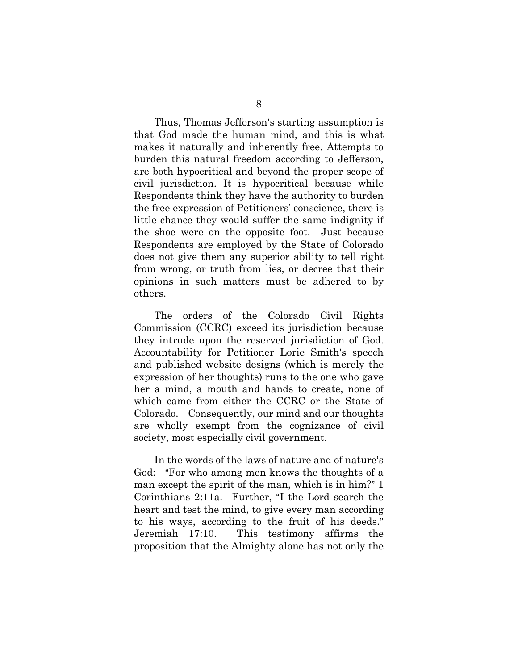Thus, Thomas Jefferson's starting assumption is that God made the human mind, and this is what makes it naturally and inherently free. Attempts to burden this natural freedom according to Jefferson, are both hypocritical and beyond the proper scope of civil jurisdiction. It is hypocritical because while Respondents think they have the authority to burden the free expression of Petitioners' conscience, there is little chance they would suffer the same indignity if the shoe were on the opposite foot. Just because Respondents are employed by the State of Colorado does not give them any superior ability to tell right from wrong, or truth from lies, or decree that their opinions in such matters must be adhered to by others.

The orders of the Colorado Civil Rights Commission (CCRC) exceed its jurisdiction because they intrude upon the reserved jurisdiction of God. Accountability for Petitioner Lorie Smith's speech and published website designs (which is merely the expression of her thoughts) runs to the one who gave her a mind, a mouth and hands to create, none of which came from either the CCRC or the State of Colorado. Consequently, our mind and our thoughts are wholly exempt from the cognizance of civil society, most especially civil government.

In the words of the laws of nature and of nature's God: "For who among men knows the thoughts of a man except the spirit of the man, which is in him?" 1 Corinthians  $2:11a$ . Further, "I the Lord search the heart and test the mind, to give every man according to his ways, according to the fruit of his deeds." Jeremiah 17:10. This testimony affirms the proposition that the Almighty alone has not only the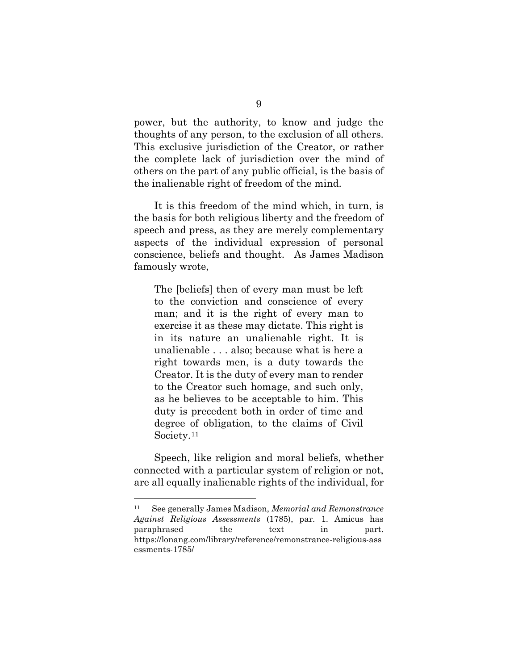power, but the authority, to know and judge the thoughts of any person, to the exclusion of all others. This exclusive jurisdiction of the Creator, or rather the complete lack of jurisdiction over the mind of others on the part of any public official, is the basis of the inalienable right of freedom of the mind.

It is this freedom of the mind which, in turn, is the basis for both religious liberty and the freedom of speech and press, as they are merely complementary aspects of the individual expression of personal conscience, beliefs and thought. As James Madison famously wrote,

The [beliefs] then of every man must be left to the conviction and conscience of every man; and it is the right of every man to exercise it as these may dictate. This right is in its nature an unalienable right. It is unalienable . . . also; because what is here a right towards men, is a duty towards the Creator. It is the duty of every man to render to the Creator such homage, and such only, as he believes to be acceptable to him. This duty is precedent both in order of time and degree of obligation, to the claims of Civil Society.<sup>[11](#page-15-0)</sup>

Speech, like religion and moral beliefs, whether connected with a particular system of religion or not, are all equally inalienable rights of the individual, for

<span id="page-15-0"></span><sup>11</sup> See generally James Madison, *Memorial and Remonstrance Against Religious Assessments* (1785), par. 1. Amicus has paraphrased the text in part. https://lonang.com/library/reference/remonstrance-religious-ass essments-1785/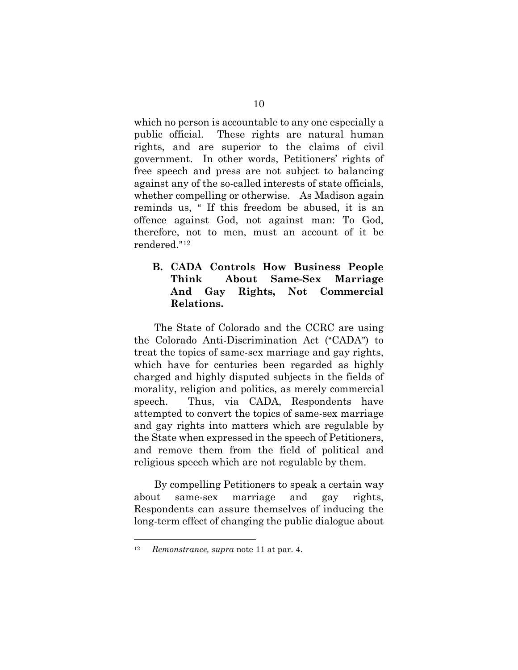which no person is accountable to any one especially a public official. These rights are natural human rights, and are superior to the claims of civil government. In other words, Petitioners' rights of free speech and press are not subject to balancing against any of the so-called interests of state officials, whether compelling or otherwise. As Madison again reminds us, "If this freedom be abused, it is an offence against God, not against man: To God, therefore, not to men, must an account of it be rendered."<sup>[12](#page-16-0)</sup>

#### **B. CADA Controls How Business People Think About Same-Sex Marriage And Gay Rights, Not Commercial Relations.**

The State of Colorado and the CCRC are using the Colorado Anti-Discrimination Act ("CADA") to treat the topics of same-sex marriage and gay rights, which have for centuries been regarded as highly charged and highly disputed subjects in the fields of morality, religion and politics, as merely commercial speech. Thus, via CADA, Respondents have attempted to convert the topics of same-sex marriage and gay rights into matters which are regulable by the State when expressed in the speech of Petitioners, and remove them from the field of political and religious speech which are not regulable by them.

By compelling Petitioners to speak a certain way about same-sex marriage and gay rights, Respondents can assure themselves of inducing the long-term effect of changing the public dialogue about

<span id="page-16-0"></span><sup>12</sup> *Remonstrance, supra* note 11 at par. 4.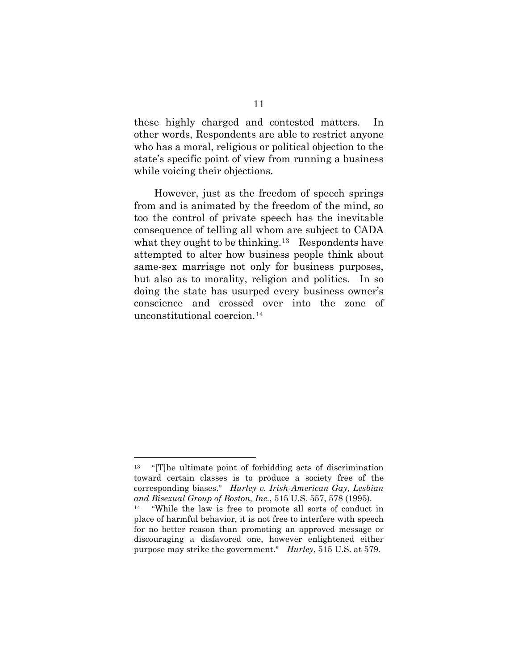these highly charged and contested matters. In other words, Respondents are able to restrict anyone who has a moral, religious or political objection to the state's specific point of view from running a business while voicing their objections.

However, just as the freedom of speech springs from and is animated by the freedom of the mind, so too the control of private speech has the inevitable consequence of telling all whom are subject to CADA what they ought to be thinking.<sup>[13](#page-17-0)</sup> Respondents have attempted to alter how business people think about same-sex marriage not only for business purposes, but also as to morality, religion and politics. In so doing the state has usurped every business owner's conscience and crossed over into the zone of unconstitutional coercion.[14](#page-17-1)

<span id="page-17-0"></span> $13$  "[T]he ultimate point of forbidding acts of discrimination toward certain classes is to produce a society free of the corresponding biases.@ *Hurley v. Irish-American Gay, Lesbian and Bisexual Group of Boston, Inc.*, 515 U.S. 557, 578 (1995).

<span id="page-17-1"></span> $14$  "While the law is free to promote all sorts of conduct in place of harmful behavior, it is not free to interfere with speech for no better reason than promoting an approved message or discouraging a disfavored one, however enlightened either purpose may strike the government." *Hurley*, 515 U.S. at 579.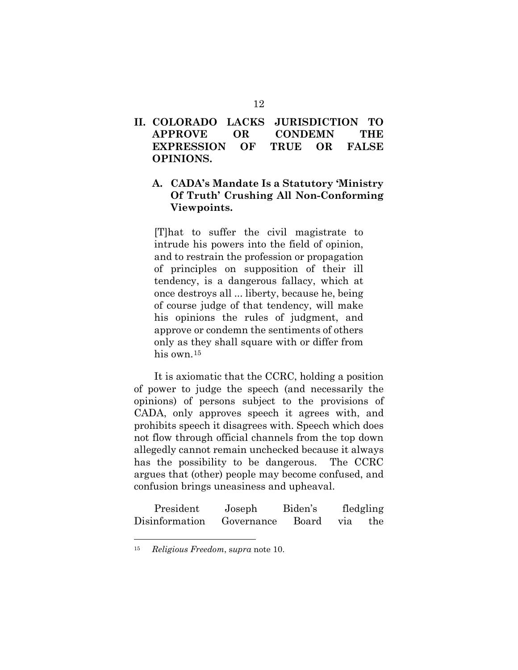#### **II. COLORADO LACKS JURISDICTION TO APPROVE OR CONDEMN THE EXPRESSION OF TRUE OR FALSE OPINIONS.**

### **A. CADA's Mandate Is a Statutory 'Ministry Of Truth' Crushing All Non-Conforming Viewpoints.**

[T]hat to suffer the civil magistrate to intrude his powers into the field of opinion, and to restrain the profession or propagation of principles on supposition of their ill tendency, is a dangerous fallacy, which at once destroys all ... liberty, because he, being of course judge of that tendency, will make his opinions the rules of judgment, and approve or condemn the sentiments of others only as they shall square with or differ from his own.[15](#page-18-0)

It is axiomatic that the CCRC, holding a position of power to judge the speech (and necessarily the opinions) of persons subject to the provisions of CADA, only approves speech it agrees with, and prohibits speech it disagrees with. Speech which does not flow through official channels from the top down allegedly cannot remain unchecked because it always has the possibility to be dangerous. The CCRC argues that (other) people may become confused, and confusion brings uneasiness and upheaval.

| President      | Joseph     | Biden's |         | fledgling |
|----------------|------------|---------|---------|-----------|
| Disinformation | Governance | Board   | via the |           |

<span id="page-18-0"></span><sup>15</sup> *Religious Freedom*, s*upra* note 10.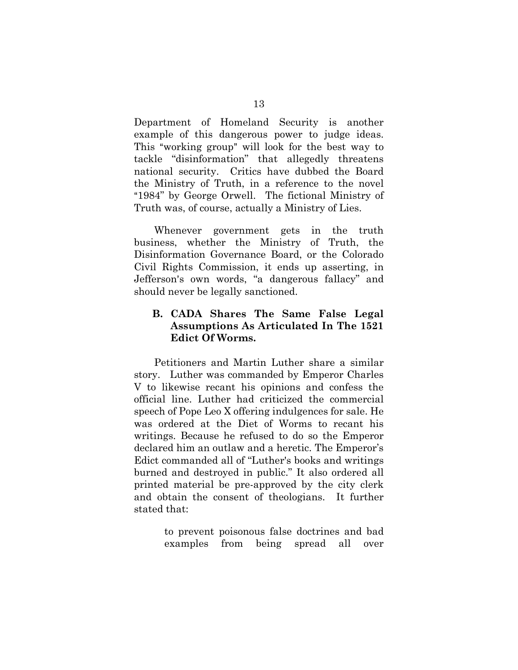Department of Homeland Security is another example of this dangerous power to judge ideas. This "working group" will look for the best way to tackle "disinformation" that allegedly threatens national security. Critics have dubbed the Board the Ministry of Truth, in a reference to the novel "1984" by George Orwell. The fictional Ministry of Truth was, of course, actually a Ministry of Lies.

Whenever government gets in the truth business, whether the Ministry of Truth, the Disinformation Governance Board, or the Colorado Civil Rights Commission, it ends up asserting, in Jefferson's own words, "a dangerous fallacy" and should never be legally sanctioned.

#### **B. CADA Shares The Same False Legal Assumptions As Articulated In The 1521 Edict Of Worms.**

Petitioners and Martin Luther share a similar story. Luther was commanded by Emperor Charles V to likewise recant his opinions and confess the official line. Luther had criticized the commercial speech of Pope Leo X offering indulgences for sale. He was ordered at the Diet of Worms to recant his writings. Because he refused to do so the Emperor declared him an outlaw and a heretic. The Emperor's Edict commanded all of "Luther's books and writings burned and destroyed in public." It also ordered all printed material be pre-approved by the city clerk and obtain the consent of theologians. It further stated that:

> to prevent poisonous false doctrines and bad examples from being spread all over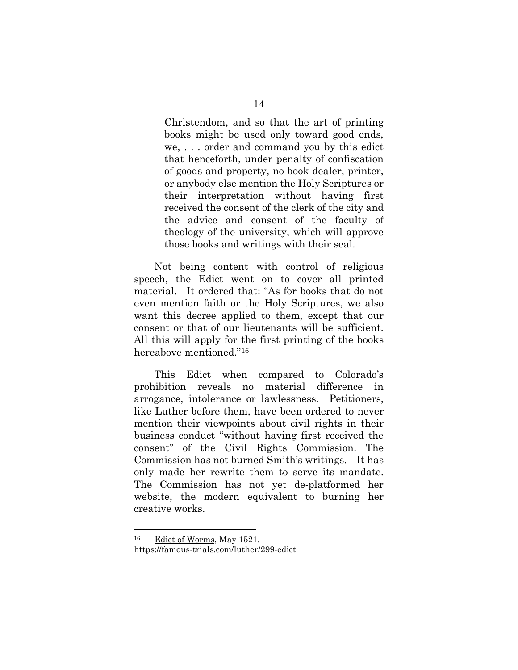Christendom, and so that the art of printing books might be used only toward good ends, we, . . . order and command you by this edict that henceforth, under penalty of confiscation of goods and property, no book dealer, printer, or anybody else mention the Holy Scriptures or their interpretation without having first received the consent of the clerk of the city and the advice and consent of the faculty of theology of the university, which will approve those books and writings with their seal.

Not being content with control of religious speech, the Edict went on to cover all printed material. It ordered that: "As for books that do not even mention faith or the Holy Scriptures, we also want this decree applied to them, except that our consent or that of our lieutenants will be sufficient. All this will apply for the first printing of the books hereabove mentioned."[16](#page-20-0)

This Edict when compared to Colorado's prohibition reveals no material difference in arrogance, intolerance or lawlessness. Petitioners, like Luther before them, have been ordered to never mention their viewpoints about civil rights in their business conduct "without having first received the consent" of the Civil Rights Commission. The Commission has not burned Smith's writings. It has only made her rewrite them to serve its mandate. The Commission has not yet de-platformed her website, the modern equivalent to burning her creative works.

<span id="page-20-0"></span><sup>16</sup> Edict of Worms, May 1521. https://famous-trials.com/luther/299-edict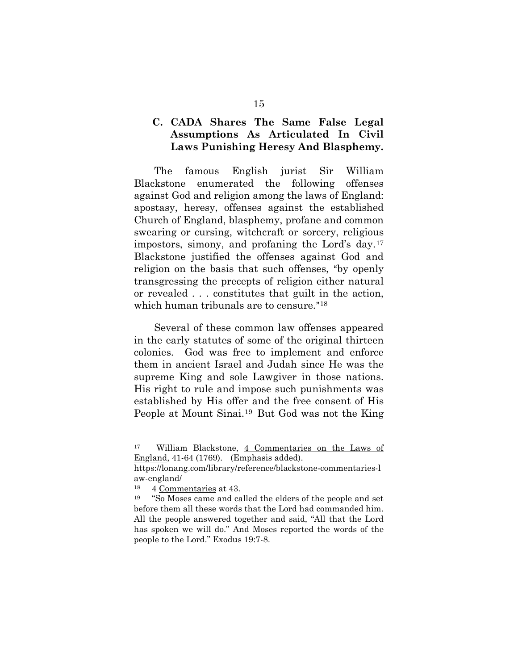#### **C. CADA Shares The Same False Legal Assumptions As Articulated In Civil Laws Punishing Heresy And Blasphemy.**

The famous English jurist Sir William Blackstone enumerated the following offenses against God and religion among the laws of England: apostasy, heresy, offenses against the established Church of England, blasphemy, profane and common swearing or cursing, witchcraft or sorcery, religious impostors, simony, and profaning the Lord's day.[17](#page-21-0)  Blackstone justified the offenses against God and religion on the basis that such offenses, "by openly transgressing the precepts of religion either natural or revealed . . . constitutes that guilt in the action, which human tribunals are to censure."<sup>[18](#page-21-1)</sup>

Several of these common law offenses appeared in the early statutes of some of the original thirteen colonies. God was free to implement and enforce them in ancient Israel and Judah since He was the supreme King and sole Lawgiver in those nations. His right to rule and impose such punishments was established by His offer and the free consent of His People at Mount Sinai.[19](#page-21-2) But God was not the King

<span id="page-21-0"></span><sup>17</sup> William Blackstone, 4 Commentaries on the Laws of England, 41-64 (1769). (Emphasis added).

https://lonang.com/library/reference/blackstone-commentaries-l aw-england/ $\frac{18}{4}$  Comm

<sup>4</sup> Commentaries at 43.

<span id="page-21-2"></span><span id="page-21-1"></span><sup>&</sup>lt;sup>19</sup> "So Moses came and called the elders of the people and set before them all these words that the Lord had commanded him. All the people answered together and said, "All that the Lord has spoken we will do." And Moses reported the words of the people to the Lord." Exodus 19:7-8.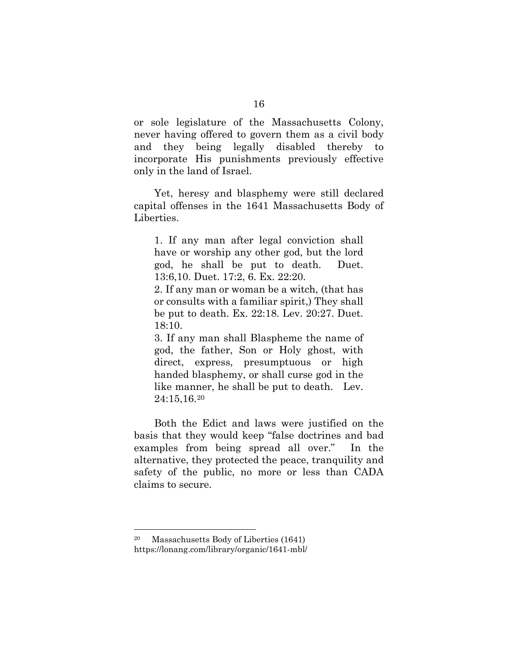or sole legislature of the Massachusetts Colony, never having offered to govern them as a civil body and they being legally disabled thereby to incorporate His punishments previously effective only in the land of Israel.

Yet, heresy and blasphemy were still declared capital offenses in the 1641 Massachusetts Body of Liberties.

1. If any man after legal conviction shall have or worship any other god, but the lord god, he shall be put to death. Duet. 13:6,10. Duet. 17:2, 6. Ex. 22:20.

2. If any man or woman be a witch, (that has or consults with a familiar spirit,) They shall be put to death. Ex. 22:18. Lev. 20:27. Duet. 18:10.

3. If any man shall Blaspheme the name of god, the father, Son or Holy ghost, with direct, express, presumptuous or high handed blasphemy, or shall curse god in the like manner, he shall be put to death. Lev. 24:15,16.[20](#page-22-0)

Both the Edict and laws were justified on the basis that they would keep "false doctrines and bad examples from being spread all over." In the alternative, they protected the peace, tranquility and safety of the public, no more or less than CADA claims to secure.

<span id="page-22-0"></span><sup>20</sup> Massachusetts Body of Liberties (1641) https://lonang.com/library/organic/1641-mbl/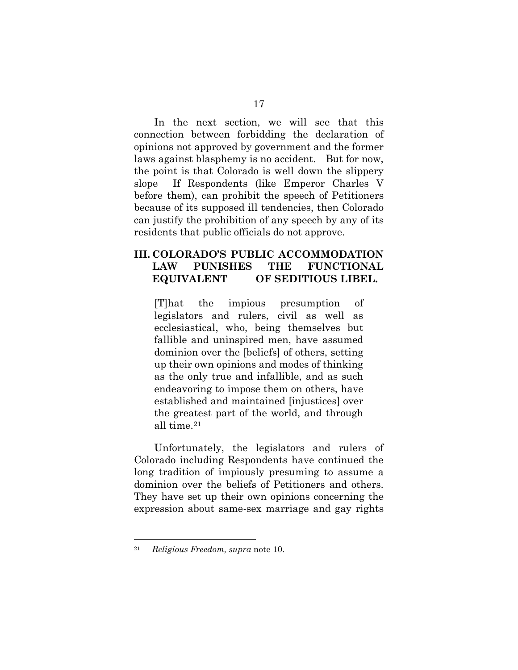In the next section, we will see that this connection between forbidding the declaration of opinions not approved by government and the former laws against blasphemy is no accident. But for now, the point is that Colorado is well down the slippery slope If Respondents (like Emperor Charles V before them), can prohibit the speech of Petitioners because of its supposed ill tendencies, then Colorado can justify the prohibition of any speech by any of its residents that public officials do not approve.

#### **III. COLORADO'S PUBLIC ACCOMMODATION LAW PUNISHES THE FUNCTIONAL EQUIVALENT OF SEDITIOUS LIBEL.**

[T]hat the impious presumption of legislators and rulers, civil as well as ecclesiastical, who, being themselves but fallible and uninspired men, have assumed dominion over the [beliefs] of others, setting up their own opinions and modes of thinking as the only true and infallible, and as such endeavoring to impose them on others, have established and maintained [injustices] over the greatest part of the world, and through all time.[21](#page-23-0)

Unfortunately, the legislators and rulers of Colorado including Respondents have continued the long tradition of impiously presuming to assume a dominion over the beliefs of Petitioners and others. They have set up their own opinions concerning the expression about same-sex marriage and gay rights

<span id="page-23-0"></span><sup>21</sup> *Religious Freedom, supra* note 10.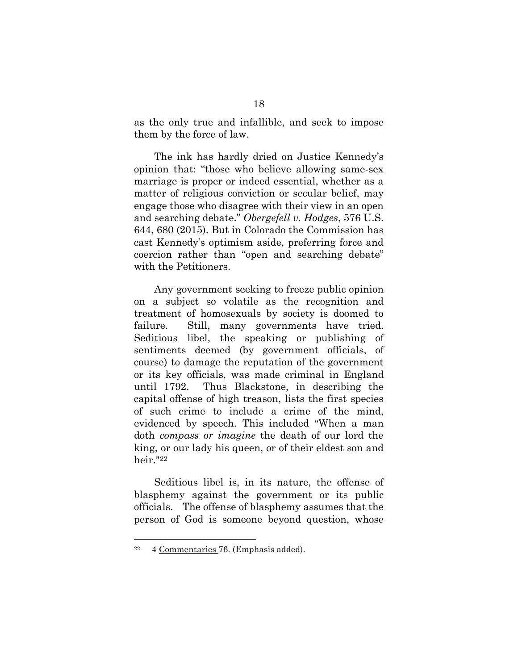as the only true and infallible, and seek to impose them by the force of law.

The ink has hardly dried on Justice Kennedy's opinion that: "those who believe allowing same-sex marriage is proper or indeed essential, whether as a matter of religious conviction or secular belief, may engage those who disagree with their view in an open and searching debate." *Obergefell v. Hodges*, 576 U.S. 644, 680 (2015). But in Colorado the Commission has cast Kennedy's optimism aside, preferring force and coercion rather than "open and searching debate" with the Petitioners.

Any government seeking to freeze public opinion on a subject so volatile as the recognition and treatment of homosexuals by society is doomed to failure. Still, many governments have tried. Seditious libel, the speaking or publishing of sentiments deemed (by government officials, of course) to damage the reputation of the government or its key officials, was made criminal in England until 1792. Thus Blackstone, in describing the capital offense of high treason, lists the first species of such crime to include a crime of the mind, evidenced by speech. This included "When a man doth *compass or imagine* the death of our lord the king, or our lady his queen, or of their eldest son and heir."[22](#page-24-0)

Seditious libel is, in its nature, the offense of blasphemy against the government or its public officials. The offense of blasphemy assumes that the person of God is someone beyond question, whose

<span id="page-24-0"></span><sup>22 4</sup> Commentaries 76. (Emphasis added).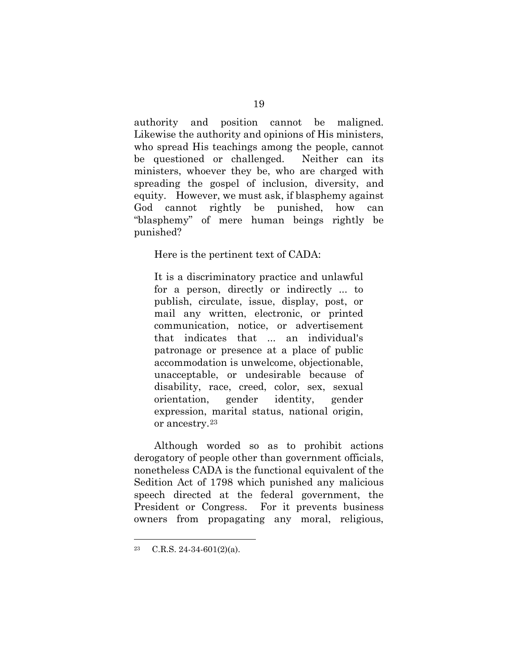authority and position cannot be maligned. Likewise the authority and opinions of His ministers, who spread His teachings among the people, cannot be questioned or challenged. Neither can its ministers, whoever they be, who are charged with spreading the gospel of inclusion, diversity, and equity. However, we must ask, if blasphemy against God cannot rightly be punished, how can "blasphemy" of mere human beings rightly be punished?

Here is the pertinent text of CADA:

It is a discriminatory practice and unlawful for a person, directly or indirectly ... to publish, circulate, issue, display, post, or mail any written, electronic, or printed communication, notice, or advertisement that indicates that ... an individual's patronage or presence at a place of public accommodation is unwelcome, objectionable, unacceptable, or undesirable because of disability, race, creed, color, sex, sexual orientation, gender identity, gender expression, marital status, national origin, or ancestry.[23](#page-25-0)

Although worded so as to prohibit actions derogatory of people other than government officials, nonetheless CADA is the functional equivalent of the Sedition Act of 1798 which punished any malicious speech directed at the federal government, the President or Congress. For it prevents business owners from propagating any moral, religious,

<span id="page-25-0"></span> $23$  C.R.S. 24-34-601(2)(a).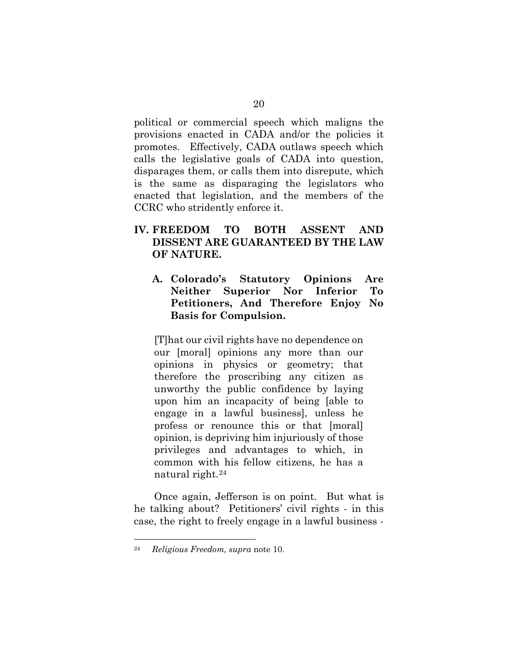political or commercial speech which maligns the provisions enacted in CADA and/or the policies it promotes. Effectively, CADA outlaws speech which calls the legislative goals of CADA into question, disparages them, or calls them into disrepute, which is the same as disparaging the legislators who enacted that legislation, and the members of the CCRC who stridently enforce it.

#### **IV. FREEDOM TO BOTH ASSENT AND DISSENT ARE GUARANTEED BY THE LAW OF NATURE.**

**A. Colorado's Statutory Opinions Are Neither Superior Nor Inferior To Petitioners, And Therefore Enjoy No Basis for Compulsion.** 

[T]hat our civil rights have no dependence on our [moral] opinions any more than our opinions in physics or geometry; that therefore the proscribing any citizen as unworthy the public confidence by laying upon him an incapacity of being [able to engage in a lawful business], unless he profess or renounce this or that [moral] opinion, is depriving him injuriously of those privileges and advantages to which, in common with his fellow citizens, he has a natural right.[24](#page-26-0)

Once again, Jefferson is on point. But what is he talking about? Petitioners' civil rights - in this case, the right to freely engage in a lawful business -

<span id="page-26-0"></span><sup>24</sup> *Religious Freedom, supra* note 10.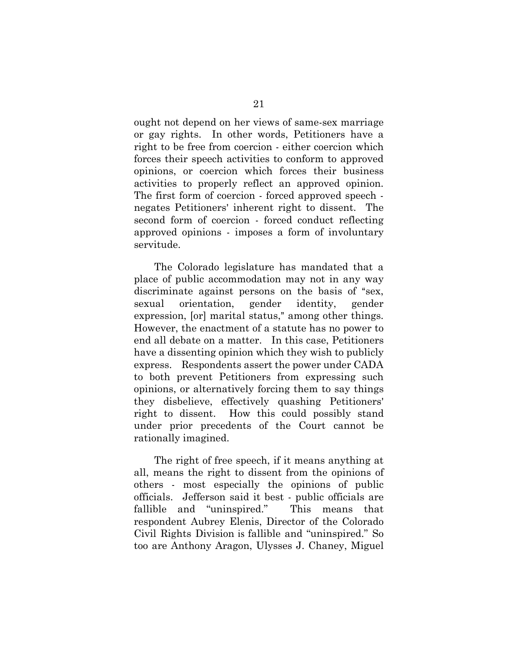ought not depend on her views of same-sex marriage or gay rights. In other words, Petitioners have a right to be free from coercion - either coercion which forces their speech activities to conform to approved opinions, or coercion which forces their business activities to properly reflect an approved opinion. The first form of coercion - forced approved speech negates Petitioners' inherent right to dissent. The second form of coercion - forced conduct reflecting approved opinions - imposes a form of involuntary servitude.

The Colorado legislature has mandated that a place of public accommodation may not in any way discriminate against persons on the basis of "sex, sexual orientation, gender identity, gender expression, [or] marital status," among other things. However, the enactment of a statute has no power to end all debate on a matter. In this case, Petitioners have a dissenting opinion which they wish to publicly express. Respondents assert the power under CADA to both prevent Petitioners from expressing such opinions, or alternatively forcing them to say things they disbelieve, effectively quashing Petitioners' right to dissent. How this could possibly stand under prior precedents of the Court cannot be rationally imagined.

The right of free speech, if it means anything at all, means the right to dissent from the opinions of others - most especially the opinions of public officials. Jefferson said it best - public officials are fallible and "uninspired." This means that respondent Aubrey Elenis, Director of the Colorado Civil Rights Division is fallible and "uninspired." So too are Anthony Aragon, Ulysses J. Chaney, Miguel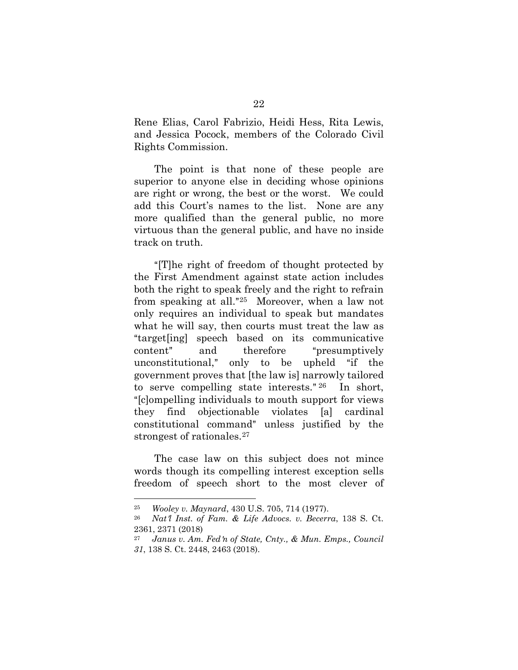Rene Elias, Carol Fabrizio, Heidi Hess, Rita Lewis, and Jessica Pocock, members of the Colorado Civil Rights Commission.

The point is that none of these people are superior to anyone else in deciding whose opinions are right or wrong, the best or the worst. We could add this Court's names to the list. None are any more qualified than the general public, no more virtuous than the general public, and have no inside track on truth.

"[T]he right of freedom of thought protected by the First Amendment against state action includes both the right to speak freely and the right to refrain from speaking at all."<sup>[25](#page-28-0)</sup> Moreover, when a law not only requires an individual to speak but mandates what he will say, then courts must treat the law as Atarget[ing] speech based on its communicative content" and therefore "presumptively unconstitutional," only to be upheld "if the government proves that [the law is] narrowly tailored to serve compelling state interests."  $26$  In short, "[c]ompelling individuals to mouth support for views they find objectionable violates [a] cardinal constitutional command" unless justified by the strongest of rationales.<sup>[27](#page-28-2)</sup>

The case law on this subject does not mince words though its compelling interest exception sells freedom of speech short to the most clever of

<sup>25</sup> *Wooley v. Maynard*, 430 U.S. 705, 714 (1977).

<span id="page-28-2"></span><span id="page-28-1"></span><span id="page-28-0"></span>Nat<sup>*l*</sup> Inst. of Fam. & Life Advocs. v. Becerra, 138 S. Ct. 2361, 2371 (2018)

<sup>&</sup>lt;sup>27</sup> Janus v. Am. Fed 'n of State, Cnty., & Mun. Emps., Council *31*, 138 S. Ct. 2448, 2463 (2018).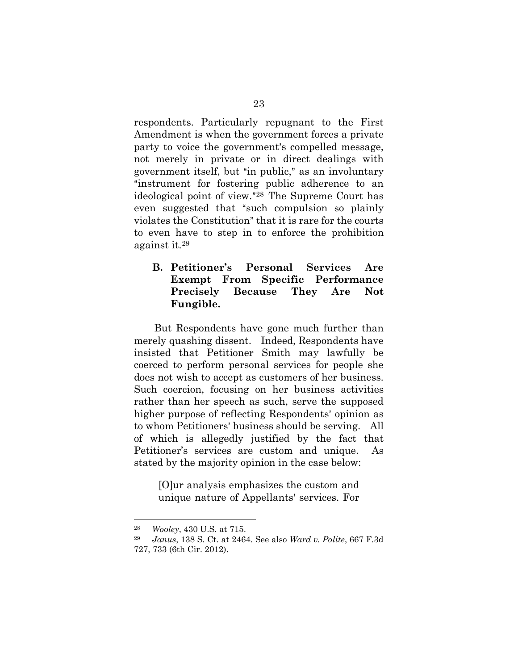respondents. Particularly repugnant to the First Amendment is when the government forces a private party to voice the government's compelled message, not merely in private or in direct dealings with government itself, but "in public," as an involuntary "instrument for fostering public adherence to an ideological point of view."<sup>[28](#page-29-0)</sup> The Supreme Court has even suggested that "such compulsion so plainly violates the Constitution" that it is rare for the courts to even have to step in to enforce the prohibition against it.[29](#page-29-1)

#### **B. Petitioner's Personal Services Are Exempt From Specific Performance Precisely Because They Are Not Fungible.**

But Respondents have gone much further than merely quashing dissent. Indeed, Respondents have insisted that Petitioner Smith may lawfully be coerced to perform personal services for people she does not wish to accept as customers of her business. Such coercion, focusing on her business activities rather than her speech as such, serve the supposed higher purpose of reflecting Respondents' opinion as to whom Petitioners' business should be serving. All of which is allegedly justified by the fact that Petitioner's services are custom and unique. As stated by the majority opinion in the case below:

[O]ur analysis emphasizes the custom and unique nature of Appellants' services. For

<span id="page-29-0"></span><sup>28</sup> *Wooley*, 430 U.S. at 715.

<span id="page-29-1"></span><sup>29</sup> *Janus*, 138 S. Ct. at 2464. See also *Ward v. Polite*, 667 F.3d 727, 733 (6th Cir. 2012).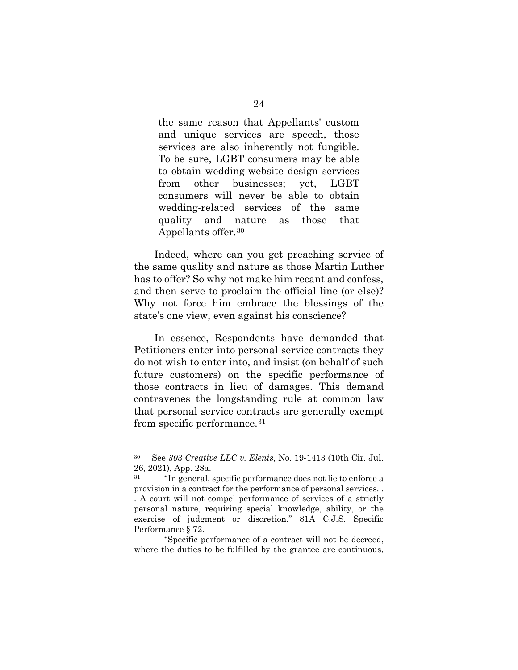the same reason that Appellants' custom and unique services are speech, those services are also inherently not fungible. To be sure, LGBT consumers may be able to obtain wedding-website design services from other businesses; yet, LGBT consumers will never be able to obtain wedding-related services of the same quality and nature as those that Appellants offer.[30](#page-30-0)

Indeed, where can you get preaching service of the same quality and nature as those Martin Luther has to offer? So why not make him recant and confess, and then serve to proclaim the official line (or else)? Why not force him embrace the blessings of the state's one view, even against his conscience?

In essence, Respondents have demanded that Petitioners enter into personal service contracts they do not wish to enter into, and insist (on behalf of such future customers) on the specific performance of those contracts in lieu of damages. This demand contravenes the longstanding rule at common law that personal service contracts are generally exempt from specific performance.[31](#page-30-1)

<span id="page-30-0"></span><sup>30</sup> See *303 Creative LLC v. Elenis*, No. 19-1413 (10th Cir. Jul. 26, 2021), App. 28a.

<span id="page-30-1"></span><sup>31 &</sup>quot;In general, specific performance does not lie to enforce a provision in a contract for the performance of personal services. . . A court will not compel performance of services of a strictly personal nature, requiring special knowledge, ability, or the exercise of judgment or discretion." 81A C.J.S. Specific Performance § 72.

<sup>&</sup>quot;Specific performance of a contract will not be decreed, where the duties to be fulfilled by the grantee are continuous,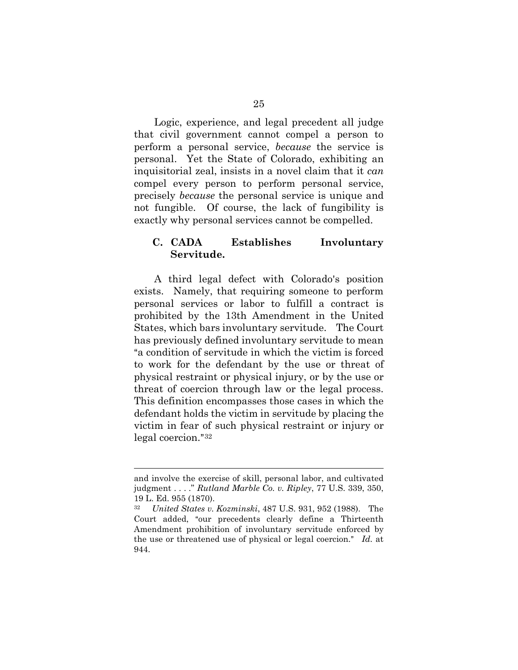Logic, experience, and legal precedent all judge that civil government cannot compel a person to perform a personal service, *because* the service is personal. Yet the State of Colorado, exhibiting an inquisitorial zeal, insists in a novel claim that it *can* compel every person to perform personal service, precisely *because* the personal service is unique and not fungible. Of course, the lack of fungibility is exactly why personal services cannot be compelled.

#### **C. CADA Establishes Involuntary Servitude.**

A third legal defect with Colorado's position exists. Namely, that requiring someone to perform personal services or labor to fulfill a contract is prohibited by the 13th Amendment in the United States, which bars involuntary servitude. The Court has previously defined involuntary servitude to mean "a condition of servitude in which the victim is forced to work for the defendant by the use or threat of physical restraint or physical injury, or by the use or threat of coercion through law or the legal process. This definition encompasses those cases in which the defendant holds the victim in servitude by placing the victim in fear of such physical restraint or injury or  $\text{legal correction."}^{32}$  $\text{legal correction."}^{32}$  $\text{legal correction."}^{32}$ 

and involve the exercise of skill, personal labor, and cultivated judgment . . . ." *Rutland Marble Co. v. Ripley*, 77 U.S. 339, 350, 19 L. Ed. 955 (1870).

<span id="page-31-0"></span><sup>32</sup> *United States v. Kozminski*, 487 U.S. 931, 952 (1988). The Court added, "our precedents clearly define a Thirteenth Amendment prohibition of involuntary servitude enforced by the use or threatened use of physical or legal coercion." Id. at 944.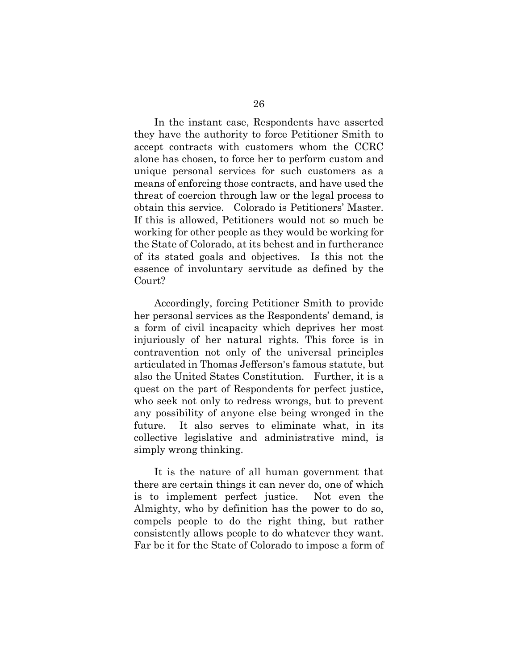In the instant case, Respondents have asserted they have the authority to force Petitioner Smith to accept contracts with customers whom the CCRC alone has chosen, to force her to perform custom and unique personal services for such customers as a means of enforcing those contracts, and have used the threat of coercion through law or the legal process to obtain this service. Colorado is Petitioners' Master. If this is allowed, Petitioners would not so much be working for other people as they would be working for the State of Colorado, at its behest and in furtherance of its stated goals and objectives. Is this not the essence of involuntary servitude as defined by the Court?

Accordingly, forcing Petitioner Smith to provide her personal services as the Respondents' demand, is a form of civil incapacity which deprives her most injuriously of her natural rights. This force is in contravention not only of the universal principles articulated in Thomas Jefferson's famous statute, but also the United States Constitution. Further, it is a quest on the part of Respondents for perfect justice, who seek not only to redress wrongs, but to prevent any possibility of anyone else being wronged in the future. It also serves to eliminate what, in its collective legislative and administrative mind, is simply wrong thinking.

It is the nature of all human government that there are certain things it can never do, one of which is to implement perfect justice. Not even the Almighty, who by definition has the power to do so, compels people to do the right thing, but rather consistently allows people to do whatever they want. Far be it for the State of Colorado to impose a form of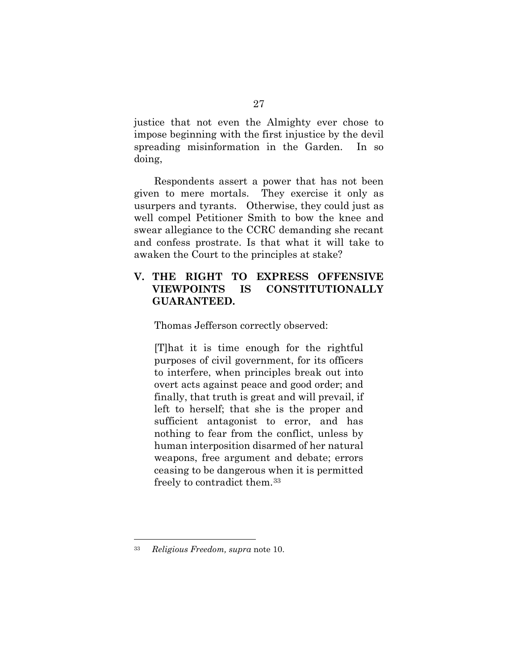justice that not even the Almighty ever chose to impose beginning with the first injustice by the devil spreading misinformation in the Garden. In so doing,

Respondents assert a power that has not been given to mere mortals. They exercise it only as usurpers and tyrants. Otherwise, they could just as well compel Petitioner Smith to bow the knee and swear allegiance to the CCRC demanding she recant and confess prostrate. Is that what it will take to awaken the Court to the principles at stake?

#### **V. THE RIGHT TO EXPRESS OFFENSIVE VIEWPOINTS IS CONSTITUTIONALLY GUARANTEED.**

Thomas Jefferson correctly observed:

[T]hat it is time enough for the rightful purposes of civil government, for its officers to interfere, when principles break out into overt acts against peace and good order; and finally, that truth is great and will prevail, if left to herself; that she is the proper and sufficient antagonist to error, and has nothing to fear from the conflict, unless by human interposition disarmed of her natural weapons, free argument and debate; errors ceasing to be dangerous when it is permitted freely to contradict them.[33](#page-33-0)

<span id="page-33-0"></span><sup>33</sup> *Religious Freedom, supra* note 10.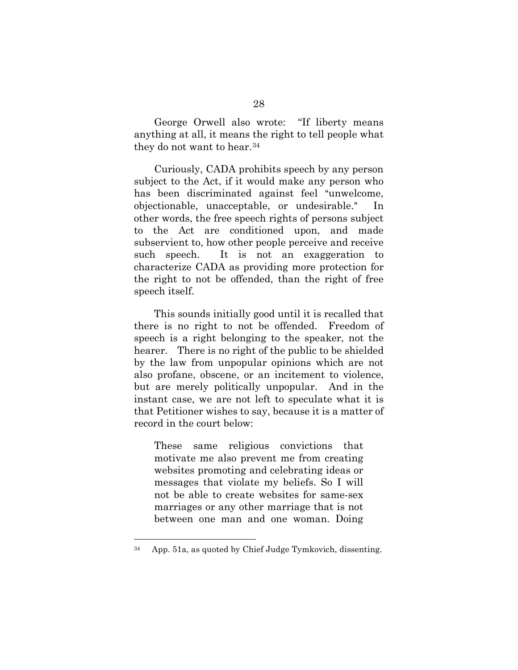George Orwell also wrote: "If liberty means anything at all, it means the right to tell people what they do not want to hear.[34](#page-34-0)

Curiously, CADA prohibits speech by any person subject to the Act, if it would make any person who has been discriminated against feel "unwelcome, objectionable, unacceptable, or undesirable." In other words, the free speech rights of persons subject to the Act are conditioned upon, and made subservient to, how other people perceive and receive such speech. It is not an exaggeration to characterize CADA as providing more protection for the right to not be offended, than the right of free speech itself.

This sounds initially good until it is recalled that there is no right to not be offended. Freedom of speech is a right belonging to the speaker, not the hearer. There is no right of the public to be shielded by the law from unpopular opinions which are not also profane, obscene, or an incitement to violence, but are merely politically unpopular. And in the instant case, we are not left to speculate what it is that Petitioner wishes to say, because it is a matter of record in the court below:

These same religious convictions that motivate me also prevent me from creating websites promoting and celebrating ideas or messages that violate my beliefs. So I will not be able to create websites for same-sex marriages or any other marriage that is not between one man and one woman. Doing

<span id="page-34-0"></span><sup>34</sup> App. 51a, as quoted by Chief Judge Tymkovich, dissenting.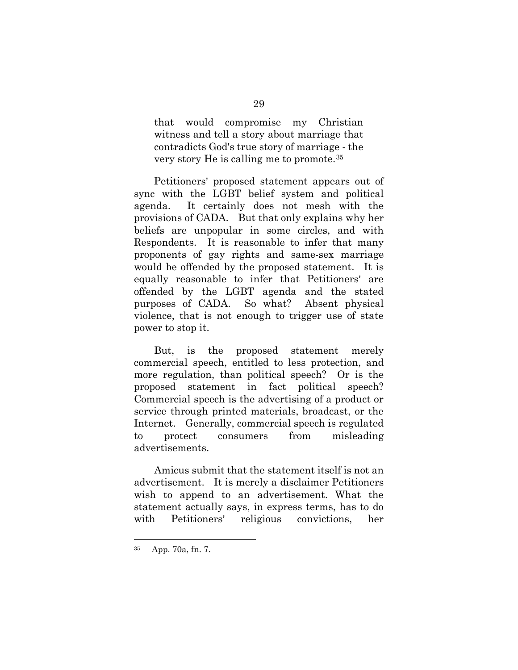that would compromise my Christian witness and tell a story about marriage that contradicts God's true story of marriage - the very story He is calling me to promote.[35](#page-35-0)

Petitioners' proposed statement appears out of sync with the LGBT belief system and political agenda. It certainly does not mesh with the provisions of CADA. But that only explains why her beliefs are unpopular in some circles, and with Respondents. It is reasonable to infer that many proponents of gay rights and same-sex marriage would be offended by the proposed statement. It is equally reasonable to infer that Petitioners' are offended by the LGBT agenda and the stated purposes of CADA. So what? Absent physical violence, that is not enough to trigger use of state power to stop it.

But, is the proposed statement merely commercial speech, entitled to less protection, and more regulation, than political speech? Or is the proposed statement in fact political speech? Commercial speech is the advertising of a product or service through printed materials, broadcast, or the Internet. Generally, commercial speech is regulated to protect consumers from misleading advertisements.

Amicus submit that the statement itself is not an advertisement. It is merely a disclaimer Petitioners wish to append to an advertisement. What the statement actually says, in express terms, has to do with Petitioners' religious convictions, her

<span id="page-35-0"></span><sup>35</sup> App. 70a, fn. 7.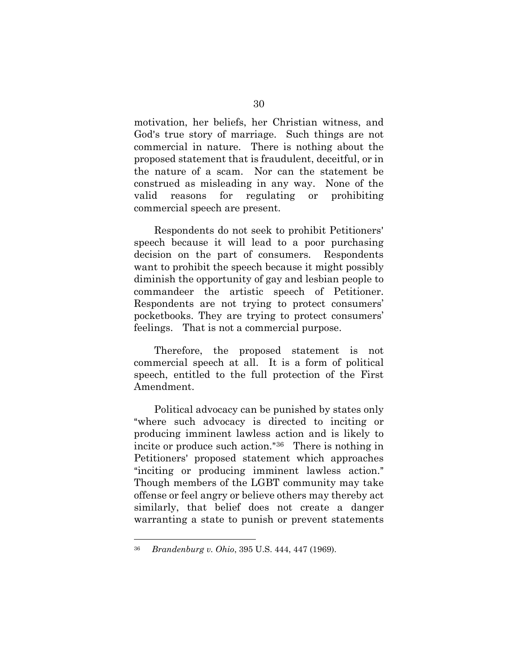motivation, her beliefs, her Christian witness, and God's true story of marriage. Such things are not commercial in nature. There is nothing about the proposed statement that is fraudulent, deceitful, or in the nature of a scam. Nor can the statement be construed as misleading in any way. None of the valid reasons for regulating or prohibiting commercial speech are present.

Respondents do not seek to prohibit Petitioners' speech because it will lead to a poor purchasing decision on the part of consumers. Respondents want to prohibit the speech because it might possibly diminish the opportunity of gay and lesbian people to commandeer the artistic speech of Petitioner. Respondents are not trying to protect consumers' pocketbooks. They are trying to protect consumers' feelings. That is not a commercial purpose.

Therefore, the proposed statement is not commercial speech at all. It is a form of political speech, entitled to the full protection of the First Amendment.

Political advocacy can be punished by states only "where such advocacy is directed to inciting or producing imminent lawless action and is likely to incite or produce such action." $36$  There is nothing in Petitioners' proposed statement which approaches "inciting or producing imminent lawless action." Though members of the LGBT community may take offense or feel angry or believe others may thereby act similarly, that belief does not create a danger warranting a state to punish or prevent statements

<span id="page-36-0"></span><sup>36</sup> *Brandenburg v. Ohio*, 395 U.S. 444, 447 (1969).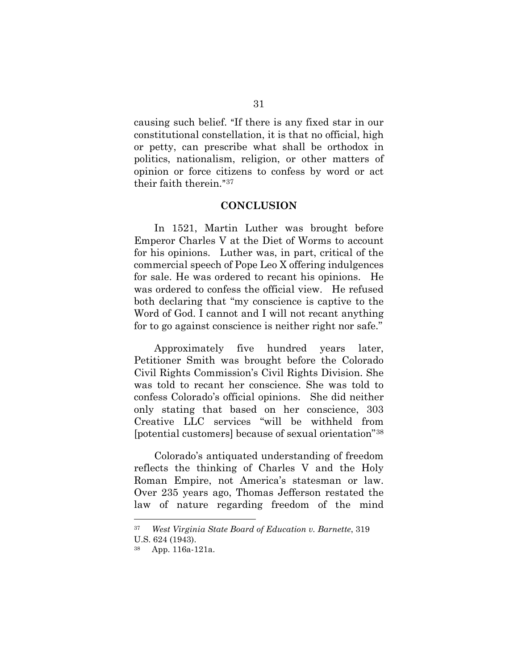causing such belief. "If there is any fixed star in our constitutional constellation, it is that no official, high or petty, can prescribe what shall be orthodox in politics, nationalism, religion, or other matters of opinion or force citizens to confess by word or act their faith therein. $37$ 

#### **CONCLUSION**

In 1521, Martin Luther was brought before Emperor Charles V at the Diet of Worms to account for his opinions. Luther was, in part, critical of the commercial speech of Pope Leo X offering indulgences for sale. He was ordered to recant his opinions. He was ordered to confess the official view. He refused both declaring that "my conscience is captive to the Word of God. I cannot and I will not recant anything for to go against conscience is neither right nor safe."

Approximately five hundred years later, Petitioner Smith was brought before the Colorado Civil Rights Commission's Civil Rights Division. She was told to recant her conscience. She was told to confess Colorado's official opinions. She did neither only stating that based on her conscience, 303 Creative LLC services "will be withheld from [potential customers] because of sexual orientation"[38](#page-37-1)

Colorado's antiquated understanding of freedom reflects the thinking of Charles V and the Holy Roman Empire, not America's statesman or law. Over 235 years ago, Thomas Jefferson restated the law of nature regarding freedom of the mind

<span id="page-37-1"></span><span id="page-37-0"></span><sup>37</sup> *West Virginia State Board of Education v. Barnette*, 319 U.S. 624 (1943).

App. 116a-121a.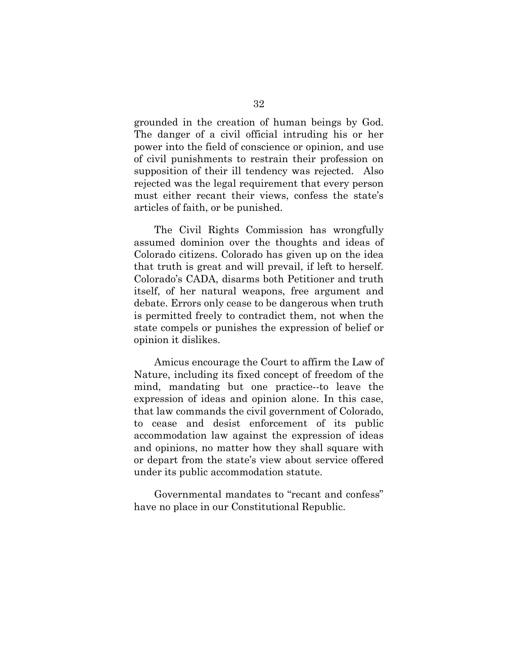grounded in the creation of human beings by God. The danger of a civil official intruding his or her power into the field of conscience or opinion, and use of civil punishments to restrain their profession on supposition of their ill tendency was rejected. Also rejected was the legal requirement that every person must either recant their views, confess the state's articles of faith, or be punished.

The Civil Rights Commission has wrongfully assumed dominion over the thoughts and ideas of Colorado citizens. Colorado has given up on the idea that truth is great and will prevail, if left to herself. Colorado's CADA, disarms both Petitioner and truth itself, of her natural weapons, free argument and debate. Errors only cease to be dangerous when truth is permitted freely to contradict them, not when the state compels or punishes the expression of belief or opinion it dislikes.

Amicus encourage the Court to affirm the Law of Nature, including its fixed concept of freedom of the mind, mandating but one practice--to leave the expression of ideas and opinion alone. In this case, that law commands the civil government of Colorado, to cease and desist enforcement of its public accommodation law against the expression of ideas and opinions, no matter how they shall square with or depart from the state's view about service offered under its public accommodation statute.

Governmental mandates to "recant and confess" have no place in our Constitutional Republic.